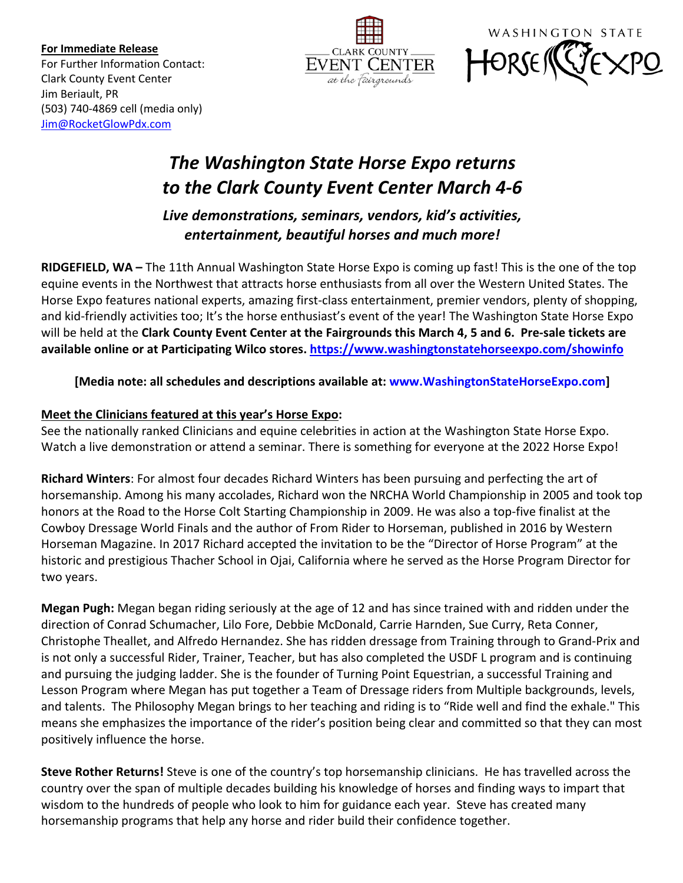**For Immediate Release** For Further Information Contact: Clark County Event Center Jim Beriault, PR (503) 740-4869 cell (media only) Jim@RocketGlowPdx.com





# *The Washington State Horse Expo returns to the Clark County Event Center March 4-6*

*Live demonstrations, seminars, vendors, kid's activities, entertainment, beautiful horses and much more!*

**RIDGEFIELD, WA –** The 11th Annual Washington State Horse Expo is coming up fast! This is the one of the top equine events in the Northwest that attracts horse enthusiasts from all over the Western United States. The Horse Expo features national experts, amazing first-class entertainment, premier vendors, plenty of shopping, and kid-friendly activities too; It's the horse enthusiast's event of the year! The Washington State Horse Expo will be held at the **Clark County Event Center at the Fairgrounds this March 4, 5 and 6. Pre-sale tickets are available online or at Participating Wilco stores. https://www.washingtonstatehorseexpo.com/showinfo**

**[Media note: all schedules and descriptions available at: www.WashingtonStateHorseExpo.com]**

# **Meet the Clinicians featured at this year's Horse Expo:**

See the nationally ranked Clinicians and equine celebrities in action at the Washington State Horse Expo. Watch a live demonstration or attend a seminar. There is something for everyone at the 2022 Horse Expo!

**Richard Winters**: For almost four decades Richard Winters has been pursuing and perfecting the art of horsemanship. Among his many accolades, Richard won the NRCHA World Championship in 2005 and took top honors at the Road to the Horse Colt Starting Championship in 2009. He was also a top-five finalist at the Cowboy Dressage World Finals and the author of From Rider to Horseman, published in 2016 by Western Horseman Magazine. In 2017 Richard accepted the invitation to be the "Director of Horse Program" at the historic and prestigious Thacher School in Ojai, California where he served as the Horse Program Director for two years.

**Megan Pugh:** Megan began riding seriously at the age of 12 and has since trained with and ridden under the direction of Conrad Schumacher, Lilo Fore, Debbie McDonald, Carrie Harnden, Sue Curry, Reta Conner, Christophe Theallet, and Alfredo Hernandez. She has ridden dressage from Training through to Grand-Prix and is not only a successful Rider, Trainer, Teacher, but has also completed the USDF L program and is continuing and pursuing the judging ladder. She is the founder of Turning Point Equestrian, a successful Training and Lesson Program where Megan has put together a Team of Dressage riders from Multiple backgrounds, levels, and talents. The Philosophy Megan brings to her teaching and riding is to "Ride well and find the exhale." This means she emphasizes the importance of the rider's position being clear and committed so that they can most positively influence the horse.

**Steve Rother Returns!** Steve is one of the country's top horsemanship clinicians. He has travelled across the country over the span of multiple decades building his knowledge of horses and finding ways to impart that wisdom to the hundreds of people who look to him for guidance each year. Steve has created many horsemanship programs that help any horse and rider build their confidence together.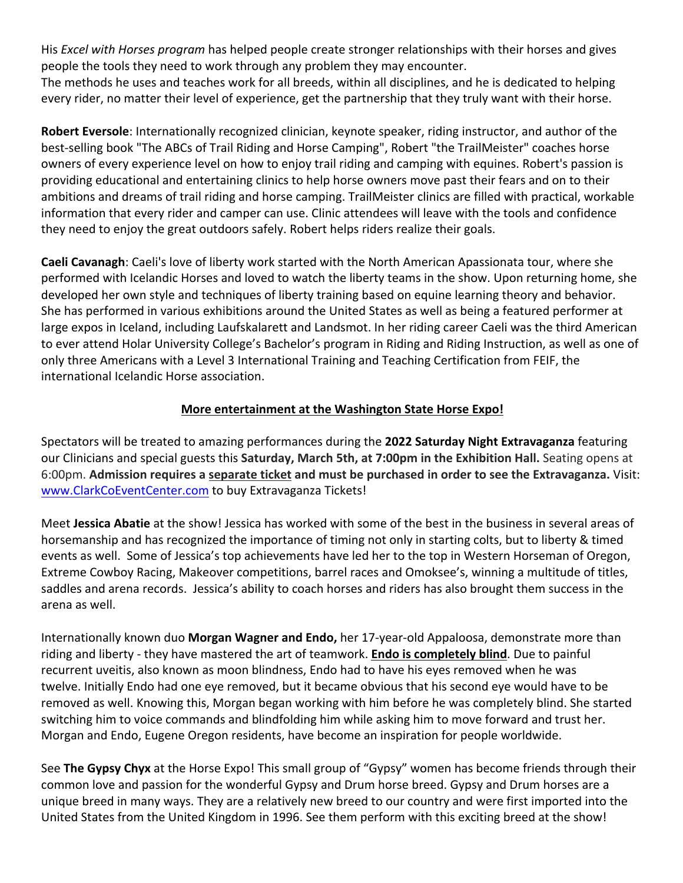His *Excel with Horses program* has helped people create stronger relationships with their horses and gives people the tools they need to work through any problem they may encounter.

The methods he uses and teaches work for all breeds, within all disciplines, and he is dedicated to helping every rider, no matter their level of experience, get the partnership that they truly want with their horse.

**Robert Eversole**: Internationally recognized clinician, keynote speaker, riding instructor, and author of the best-selling book "The ABCs of Trail Riding and Horse Camping", Robert "the TrailMeister" coaches horse owners of every experience level on how to enjoy trail riding and camping with equines. Robert's passion is providing educational and entertaining clinics to help horse owners move past their fears and on to their ambitions and dreams of trail riding and horse camping. TrailMeister clinics are filled with practical, workable information that every rider and camper can use. Clinic attendees will leave with the tools and confidence they need to enjoy the great outdoors safely. Robert helps riders realize their goals.

**Caeli Cavanagh**: Caeli's love of liberty work started with the North American Apassionata tour, where she performed with Icelandic Horses and loved to watch the liberty teams in the show. Upon returning home, she developed her own style and techniques of liberty training based on equine learning theory and behavior. She has performed in various exhibitions around the United States as well as being a featured performer at large expos in Iceland, including Laufskalarett and Landsmot. In her riding career Caeli was the third American to ever attend Holar University College's Bachelor's program in Riding and Riding Instruction, as well as one of only three Americans with a Level 3 International Training and Teaching Certification from FEIF, the international Icelandic Horse association.

# **More entertainment at the Washington State Horse Expo!**

Spectators will be treated to amazing performances during the **2022 Saturday Night Extravaganza** featuring our Clinicians and special guests this **Saturday, March 5th, at 7:00pm in the Exhibition Hall.** Seating opens at 6:00pm. **Admission requires a separate ticket and must be purchased in order to see the Extravaganza.** Visit: www.ClarkCoEventCenter.com to buy Extravaganza Tickets!

Meet **Jessica Abatie** at the show! Jessica has worked with some of the best in the business in several areas of horsemanship and has recognized the importance of timing not only in starting colts, but to liberty & timed events as well. Some of Jessica's top achievements have led her to the top in Western Horseman of Oregon, Extreme Cowboy Racing, Makeover competitions, barrel races and Omoksee's, winning a multitude of titles, saddles and arena records. Jessica's ability to coach horses and riders has also brought them success in the arena as well.

Internationally known duo **Morgan Wagner and Endo,** her 17-year-old Appaloosa, demonstrate more than riding and liberty - they have mastered the art of teamwork. **Endo is completely blind**. Due to painful recurrent uveitis, also known as moon blindness, Endo had to have his eyes removed when he was twelve. Initially Endo had one eye removed, but it became obvious that his second eye would have to be removed as well. Knowing this, Morgan began working with him before he was completely blind. She started switching him to voice commands and blindfolding him while asking him to move forward and trust her. Morgan and Endo, Eugene Oregon residents, have become an inspiration for people worldwide.

See **The Gypsy Chyx** at the Horse Expo! This small group of "Gypsy" women has become friends through their common love and passion for the wonderful Gypsy and Drum horse breed. Gypsy and Drum horses are a unique breed in many ways. They are a relatively new breed to our country and were first imported into the United States from the United Kingdom in 1996. See them perform with this exciting breed at the show!